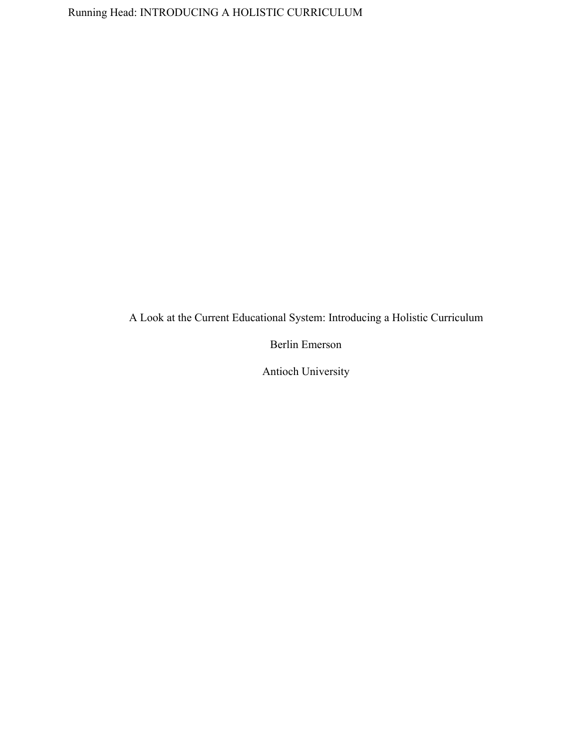A Look at the Current Educational System: Introducing a Holistic Curriculum

Berlin Emerson

Antioch University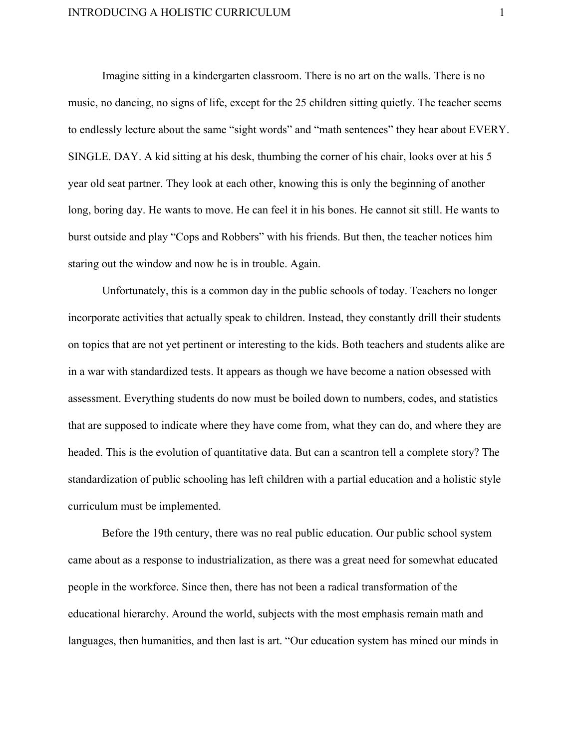Imagine sitting in a kindergarten classroom. There is no art on the walls. There is no music, no dancing, no signs of life, except for the 25 children sitting quietly. The teacher seems to endlessly lecture about the same "sight words" and "math sentences" they hear about EVERY. SINGLE. DAY. A kid sitting at his desk, thumbing the corner of his chair, looks over at his 5 year old seat partner. They look at each other, knowing this is only the beginning of another long, boring day. He wants to move. He can feel it in his bones. He cannot sit still. He wants to burst outside and play "Cops and Robbers" with his friends. But then, the teacher notices him staring out the window and now he is in trouble. Again.

Unfortunately, this is a common day in the public schools of today. Teachers no longer incorporate activities that actually speak to children. Instead, they constantly drill their students on topics that are not yet pertinent or interesting to the kids. Both teachers and students alike are in a war with standardized tests. It appears as though we have become a nation obsessed with assessment. Everything students do now must be boiled down to numbers, codes, and statistics that are supposed to indicate where they have come from, what they can do, and where they are headed. This is the evolution of quantitative data. But can a scantron tell a complete story? The standardization of public schooling has left children with a partial education and a holistic style curriculum must be implemented.

Before the 19th century, there was no real public education. Our public school system came about as a response to industrialization, as there was a great need for somewhat educated people in the workforce. Since then, there has not been a radical transformation of the educational hierarchy. Around the world, subjects with the most emphasis remain math and languages, then humanities, and then last is art. "Our education system has mined our minds in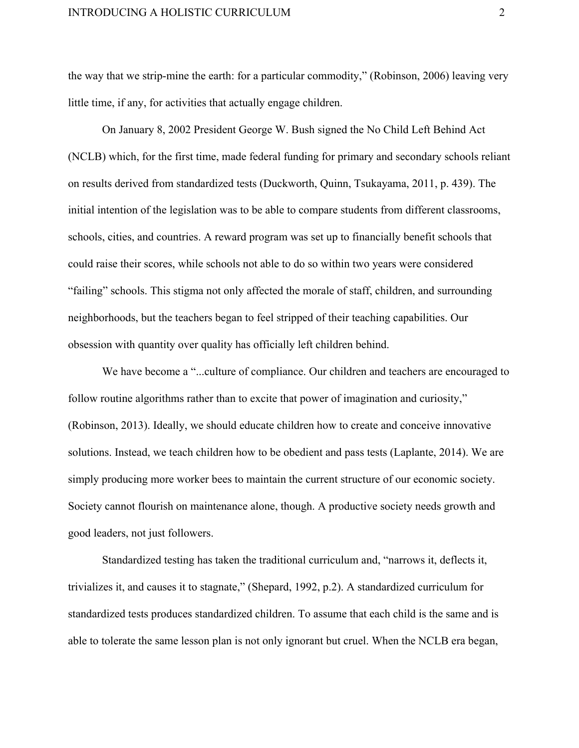the way that we strip-mine the earth: for a particular commodity," (Robinson, 2006) leaving very little time, if any, for activities that actually engage children.

On January 8, 2002 President George W. Bush signed the No Child Left Behind Act (NCLB) which, for the first time, made federal funding for primary and secondary schools reliant on results derived from standardized tests (Duckworth, Quinn, Tsukayama, 2011, p. 439). The initial intention of the legislation was to be able to compare students from different classrooms, schools, cities, and countries. A reward program was set up to financially benefit schools that could raise their scores, while schools not able to do so within two years were considered "failing" schools. This stigma not only affected the morale of staff, children, and surrounding neighborhoods, but the teachers began to feel stripped of their teaching capabilities. Our obsession with quantity over quality has officially left children behind.

We have become a "...culture of compliance. Our children and teachers are encouraged to follow routine algorithms rather than to excite that power of imagination and curiosity," (Robinson, 2013). Ideally, we should educate children how to create and conceive innovative solutions. Instead, we teach children how to be obedient and pass tests (Laplante, 2014). We are simply producing more worker bees to maintain the current structure of our economic society. Society cannot flourish on maintenance alone, though. A productive society needs growth and good leaders, not just followers.

Standardized testing has taken the traditional curriculum and, "narrows it, deflects it, trivializes it, and causes it to stagnate," (Shepard, 1992, p.2). A standardized curriculum for standardized tests produces standardized children. To assume that each child is the same and is able to tolerate the same lesson plan is not only ignorant but cruel. When the NCLB era began,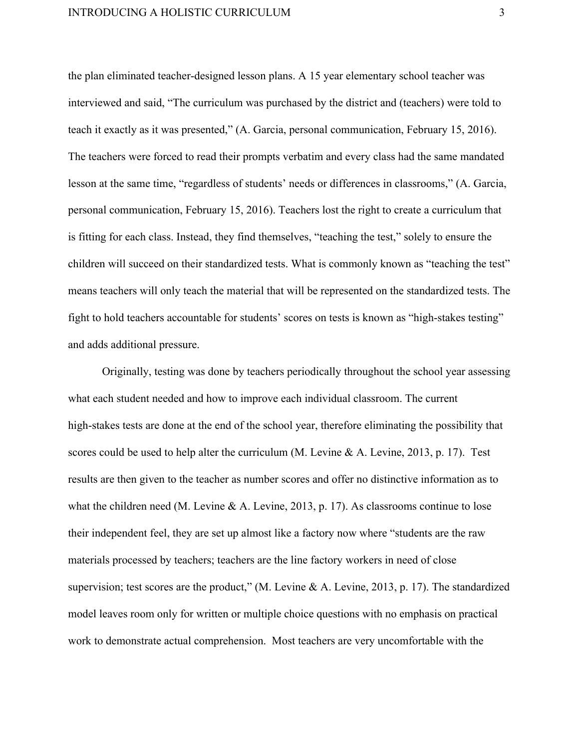the plan eliminated teacher-designed lesson plans. A 15 year elementary school teacher was interviewed and said, "The curriculum was purchased by the district and (teachers) were told to teach it exactly as it was presented," (A. Garcia, personal communication, February 15, 2016). The teachers were forced to read their prompts verbatim and every class had the same mandated lesson at the same time, "regardless of students' needs or differences in classrooms," (A. Garcia, personal communication, February 15, 2016). Teachers lost the right to create a curriculum that is fitting for each class. Instead, they find themselves, "teaching the test," solely to ensure the children will succeed on their standardized tests. What is commonly known as "teaching the test" means teachers will only teach the material that will be represented on the standardized tests. The fight to hold teachers accountable for students' scores on tests is known as "high-stakes testing" and adds additional pressure.

Originally, testing was done by teachers periodically throughout the school year assessing what each student needed and how to improve each individual classroom. The current high-stakes tests are done at the end of the school year, therefore eliminating the possibility that scores could be used to help alter the curriculum (M. Levine & A. Levine, 2013, p. 17). Test results are then given to the teacher as number scores and offer no distinctive information as to what the children need (M. Levine & A. Levine, 2013, p. 17). As classrooms continue to lose their independent feel, they are set up almost like a factory now where "students are the raw materials processed by teachers; teachers are the line factory workers in need of close supervision; test scores are the product," (M. Levine & A. Levine, 2013, p. 17). The standardized model leaves room only for written or multiple choice questions with no emphasis on practical work to demonstrate actual comprehension. Most teachers are very uncomfortable with the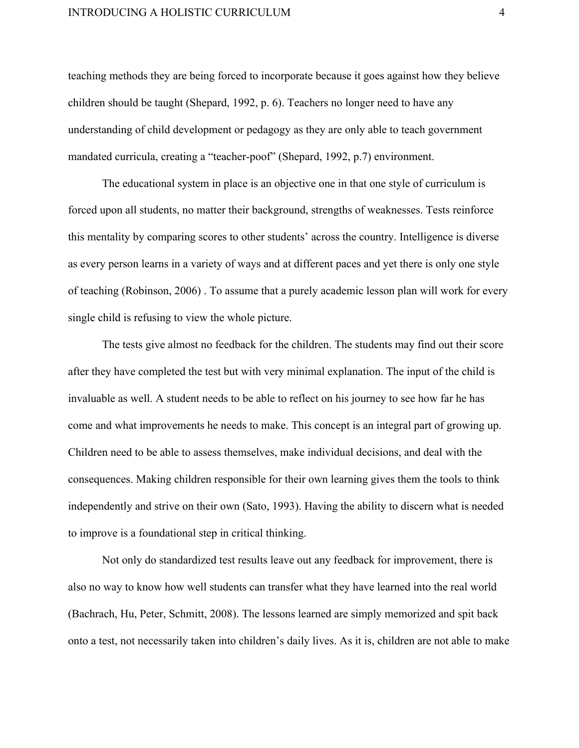teaching methods they are being forced to incorporate because it goes against how they believe children should be taught (Shepard, 1992, p. 6). Teachers no longer need to have any understanding of child development or pedagogy as they are only able to teach government mandated curricula, creating a "teacher-poof" (Shepard, 1992, p.7) environment.

The educational system in place is an objective one in that one style of curriculum is forced upon all students, no matter their background, strengths of weaknesses. Tests reinforce this mentality by comparing scores to other students' across the country. Intelligence is diverse as every person learns in a variety of ways and at different paces and yet there is only one style of teaching (Robinson, 2006) . To assume that a purely academic lesson plan will work for every single child is refusing to view the whole picture.

The tests give almost no feedback for the children. The students may find out their score after they have completed the test but with very minimal explanation. The input of the child is invaluable as well. A student needs to be able to reflect on his journey to see how far he has come and what improvements he needs to make. This concept is an integral part of growing up. Children need to be able to assess themselves, make individual decisions, and deal with the consequences. Making children responsible for their own learning gives them the tools to think independently and strive on their own (Sato, 1993). Having the ability to discern what is needed to improve is a foundational step in critical thinking.

Not only do standardized test results leave out any feedback for improvement, there is also no way to know how well students can transfer what they have learned into the real world (Bachrach, Hu, Peter, Schmitt, 2008). The lessons learned are simply memorized and spit back onto a test, not necessarily taken into children's daily lives. As it is, children are not able to make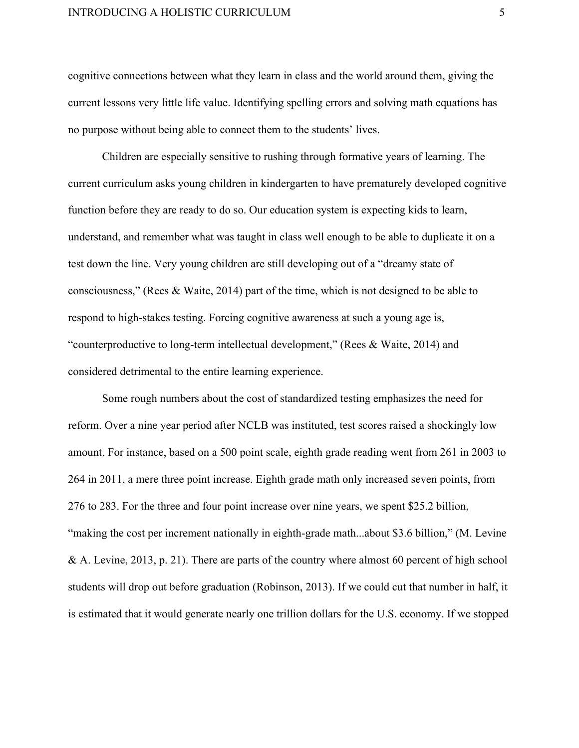cognitive connections between what they learn in class and the world around them, giving the current lessons very little life value. Identifying spelling errors and solving math equations has no purpose without being able to connect them to the students' lives.

Children are especially sensitive to rushing through formative years of learning. The current curriculum asks young children in kindergarten to have prematurely developed cognitive function before they are ready to do so. Our education system is expecting kids to learn, understand, and remember what was taught in class well enough to be able to duplicate it on a test down the line. Very young children are still developing out of a "dreamy state of consciousness," (Rees & Waite, 2014) part of the time, which is not designed to be able to respond to high-stakes testing. Forcing cognitive awareness at such a young age is, "counterproductive to long-term intellectual development," (Rees  $& Waite, 2014$ ) and considered detrimental to the entire learning experience.

Some rough numbers about the cost of standardized testing emphasizes the need for reform. Over a nine year period after NCLB was instituted, test scores raised a shockingly low amount. For instance, based on a 500 point scale, eighth grade reading went from 261 in 2003 to 264 in 2011, a mere three point increase. Eighth grade math only increased seven points, from 276 to 283. For the three and four point increase over nine years, we spent \$25.2 billion, "making the cost per increment nationally in eighth-grade math...about \$3.6 billion," (M. Levine & A. Levine, 2013, p. 21). There are parts of the country where almost 60 percent of high school students will drop out before graduation (Robinson, 2013). If we could cut that number in half, it is estimated that it would generate nearly one trillion dollars for the U.S. economy. If we stopped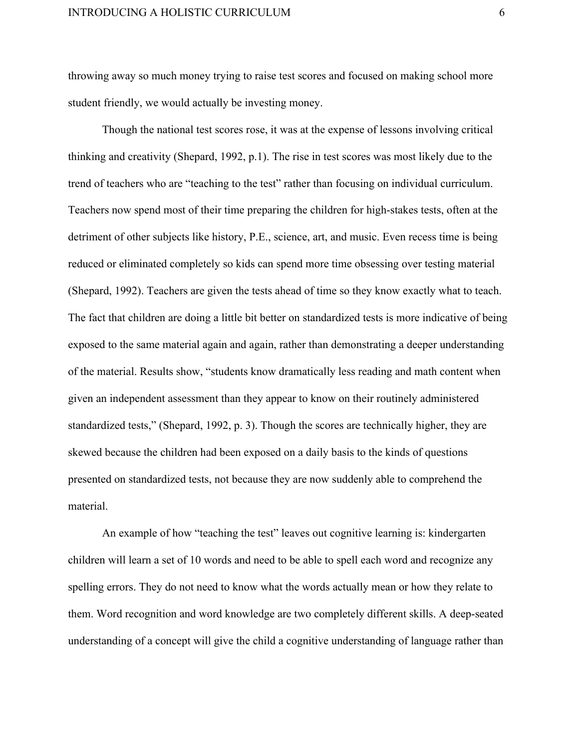throwing away so much money trying to raise test scores and focused on making school more student friendly, we would actually be investing money.

Though the national test scores rose, it was at the expense of lessons involving critical thinking and creativity (Shepard, 1992, p.1). The rise in test scores was most likely due to the trend of teachers who are "teaching to the test" rather than focusing on individual curriculum. Teachers now spend most of their time preparing the children for high-stakes tests, often at the detriment of other subjects like history, P.E., science, art, and music. Even recess time is being reduced or eliminated completely so kids can spend more time obsessing over testing material (Shepard, 1992). Teachers are given the tests ahead of time so they know exactly what to teach. The fact that children are doing a little bit better on standardized tests is more indicative of being exposed to the same material again and again, rather than demonstrating a deeper understanding of the material. Results show, "students know dramatically less reading and math content when given an independent assessment than they appear to know on their routinely administered standardized tests," (Shepard, 1992, p. 3). Though the scores are technically higher, they are skewed because the children had been exposed on a daily basis to the kinds of questions presented on standardized tests, not because they are now suddenly able to comprehend the material.

An example of how "teaching the test" leaves out cognitive learning is: kindergarten children will learn a set of 10 words and need to be able to spell each word and recognize any spelling errors. They do not need to know what the words actually mean or how they relate to them. Word recognition and word knowledge are two completely different skills. A deep-seated understanding of a concept will give the child a cognitive understanding of language rather than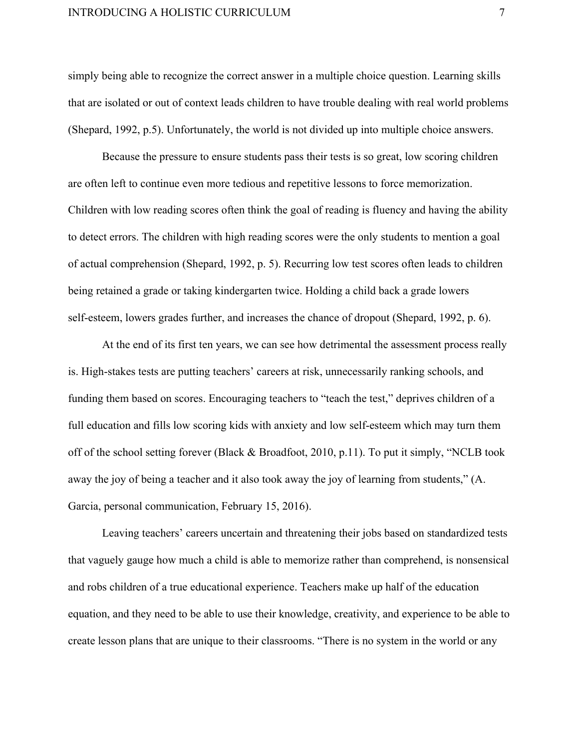simply being able to recognize the correct answer in a multiple choice question. Learning skills that are isolated or out of context leads children to have trouble dealing with real world problems (Shepard, 1992, p.5). Unfortunately, the world is not divided up into multiple choice answers.

Because the pressure to ensure students pass their tests is so great, low scoring children are often left to continue even more tedious and repetitive lessons to force memorization. Children with low reading scores often think the goal of reading is fluency and having the ability to detect errors. The children with high reading scores were the only students to mention a goal of actual comprehension (Shepard, 1992, p. 5). Recurring low test scores often leads to children being retained a grade or taking kindergarten twice. Holding a child back a grade lowers self-esteem, lowers grades further, and increases the chance of dropout (Shepard, 1992, p. 6).

At the end of its first ten years, we can see how detrimental the assessment process really is. High-stakes tests are putting teachers' careers at risk, unnecessarily ranking schools, and funding them based on scores. Encouraging teachers to "teach the test," deprives children of a full education and fills low scoring kids with anxiety and low self-esteem which may turn them off of the school setting forever (Black & Broadfoot, 2010, p.11). To put it simply, "NCLB took away the joy of being a teacher and it also took away the joy of learning from students," (A. Garcia, personal communication, February 15, 2016).

Leaving teachers' careers uncertain and threatening their jobs based on standardized tests that vaguely gauge how much a child is able to memorize rather than comprehend, is nonsensical and robs children of a true educational experience. Teachers make up half of the education equation, and they need to be able to use their knowledge, creativity, and experience to be able to create lesson plans that are unique to their classrooms. "There is no system in the world or any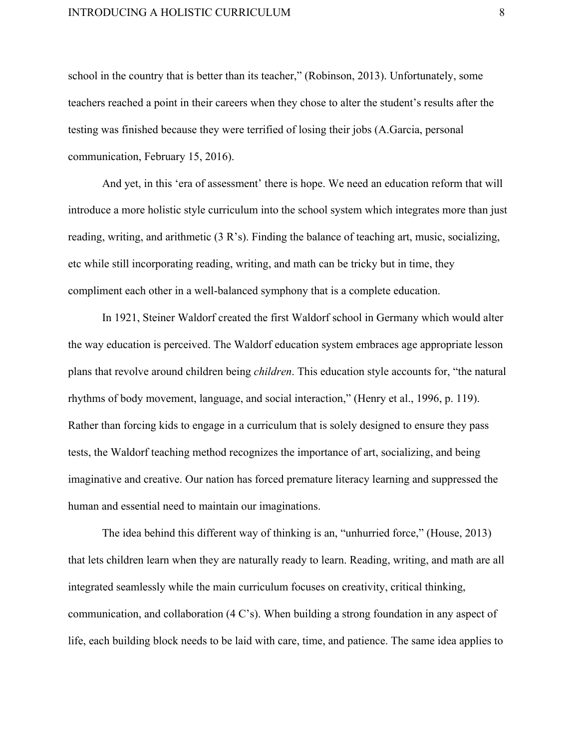school in the country that is better than its teacher," (Robinson, 2013). Unfortunately, some teachers reached a point in their careers when they chose to alter the student's results after the testing was finished because they were terrified of losing their jobs (A.Garcia, personal communication, February 15, 2016).

And yet, in this 'era of assessment' there is hope. We need an education reform that will introduce a more holistic style curriculum into the school system which integrates more than just reading, writing, and arithmetic (3 R's). Finding the balance of teaching art, music, socializing, etc while still incorporating reading, writing, and math can be tricky but in time, they compliment each other in a well-balanced symphony that is a complete education.

In 1921, Steiner Waldorf created the first Waldorf school in Germany which would alter the way education is perceived. The Waldorf education system embraces age appropriate lesson plans that revolve around children being *children*. This education style accounts for, "the natural rhythms of body movement, language, and social interaction," (Henry et al., 1996, p. 119). Rather than forcing kids to engage in a curriculum that is solely designed to ensure they pass tests, the Waldorf teaching method recognizes the importance of art, socializing, and being imaginative and creative. Our nation has forced premature literacy learning and suppressed the human and essential need to maintain our imaginations.

The idea behind this different way of thinking is an, "unhurried force," (House, 2013) that lets children learn when they are naturally ready to learn. Reading, writing, and math are all integrated seamlessly while the main curriculum focuses on creativity, critical thinking, communication, and collaboration (4 C's). When building a strong foundation in any aspect of life, each building block needs to be laid with care, time, and patience. The same idea applies to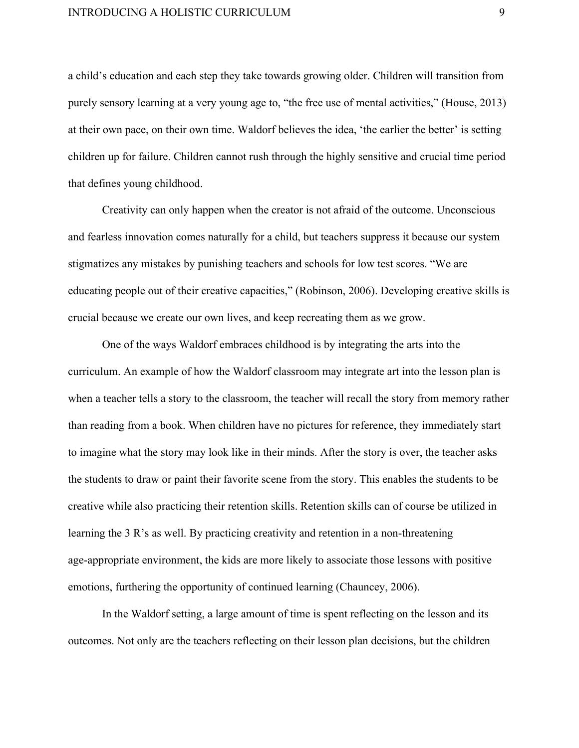a child's education and each step they take towards growing older. Children will transition from purely sensory learning at a very young age to, "the free use of mental activities," (House, 2013) at their own pace, on their own time. Waldorf believes the idea, 'the earlier the better' is setting children up for failure. Children cannot rush through the highly sensitive and crucial time period that defines young childhood.

Creativity can only happen when the creator is not afraid of the outcome. Unconscious and fearless innovation comes naturally for a child, but teachers suppress it because our system stigmatizes any mistakes by punishing teachers and schools for low test scores. "We are educating people out of their creative capacities," (Robinson, 2006). Developing creative skills is crucial because we create our own lives, and keep recreating them as we grow.

One of the ways Waldorf embraces childhood is by integrating the arts into the curriculum. An example of how the Waldorf classroom may integrate art into the lesson plan is when a teacher tells a story to the classroom, the teacher will recall the story from memory rather than reading from a book. When children have no pictures for reference, they immediately start to imagine what the story may look like in their minds. After the story is over, the teacher asks the students to draw or paint their favorite scene from the story. This enables the students to be creative while also practicing their retention skills. Retention skills can of course be utilized in learning the  $3 R's$  as well. By practicing creativity and retention in a non-threatening age-appropriate environment, the kids are more likely to associate those lessons with positive emotions, furthering the opportunity of continued learning (Chauncey, 2006).

In the Waldorf setting, a large amount of time is spent reflecting on the lesson and its outcomes. Not only are the teachers reflecting on their lesson plan decisions, but the children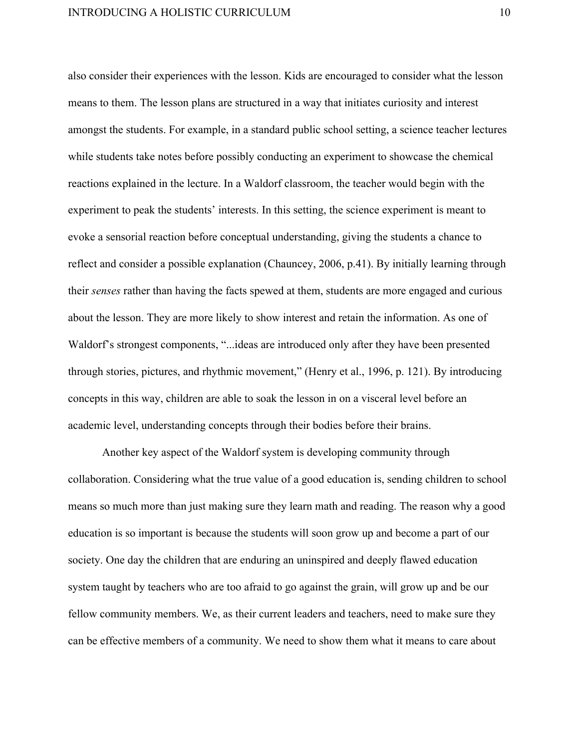also consider their experiences with the lesson. Kids are encouraged to consider what the lesson means to them. The lesson plans are structured in a way that initiates curiosity and interest amongst the students. For example, in a standard public school setting, a science teacher lectures while students take notes before possibly conducting an experiment to showcase the chemical reactions explained in the lecture. In a Waldorf classroom, the teacher would begin with the experiment to peak the students' interests. In this setting, the science experiment is meant to evoke a sensorial reaction before conceptual understanding, giving the students a chance to reflect and consider a possible explanation (Chauncey, 2006, p.41). By initially learning through their *senses* rather than having the facts spewed at them, students are more engaged and curious about the lesson. They are more likely to show interest and retain the information. As one of Waldorf's strongest components, "...ideas are introduced only after they have been presented through stories, pictures, and rhythmic movement," (Henry et al., 1996, p. 121). By introducing concepts in this way, children are able to soak the lesson in on a visceral level before an academic level, understanding concepts through their bodies before their brains.

Another key aspect of the Waldorf system is developing community through collaboration. Considering what the true value of a good education is, sending children to school means so much more than just making sure they learn math and reading. The reason why a good education is so important is because the students will soon grow up and become a part of our society. One day the children that are enduring an uninspired and deeply flawed education system taught by teachers who are too afraid to go against the grain, will grow up and be our fellow community members. We, as their current leaders and teachers, need to make sure they can be effective members of a community. We need to show them what it means to care about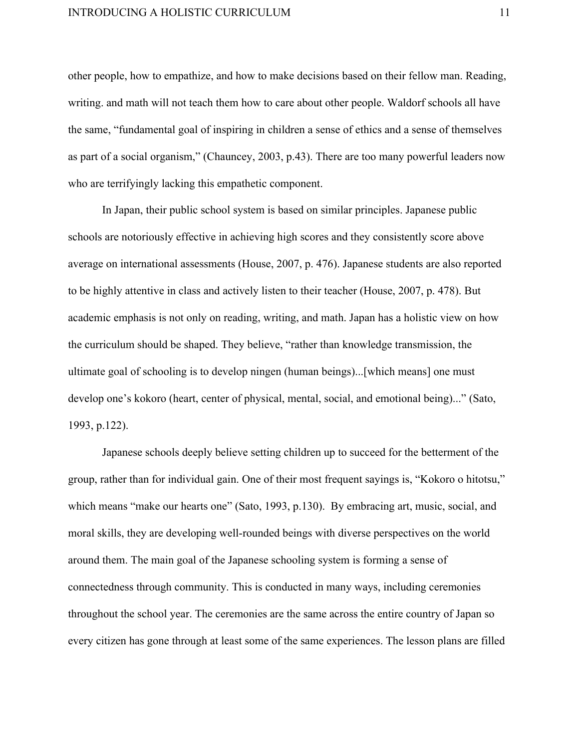other people, how to empathize, and how to make decisions based on their fellow man. Reading, writing. and math will not teach them how to care about other people. Waldorf schools all have the same, "fundamental goal of inspiring in children a sense of ethics and a sense of themselves as part of a social organism," (Chauncey, 2003, p.43). There are too many powerful leaders now who are terrifyingly lacking this empathetic component.

In Japan, their public school system is based on similar principles. Japanese public schools are notoriously effective in achieving high scores and they consistently score above average on international assessments (House, 2007, p. 476). Japanese students are also reported to be highly attentive in class and actively listen to their teacher (House, 2007, p. 478). But academic emphasis is not only on reading, writing, and math. Japan has a holistic view on how the curriculum should be shaped. They believe, "rather than knowledge transmission, the ultimate goal of schooling is to develop ningen (human beings)...[which means] one must develop one's kokoro (heart, center of physical, mental, social, and emotional being)..." (Sato, 1993, p.122).

Japanese schools deeply believe setting children up to succeed for the betterment of the group, rather than for individual gain. One of their most frequent sayings is, "Kokoro o hitotsu," which means "make our hearts one" (Sato, 1993, p.130). By embracing art, music, social, and moral skills, they are developing well-rounded beings with diverse perspectives on the world around them. The main goal of the Japanese schooling system is forming a sense of connectedness through community. This is conducted in many ways, including ceremonies throughout the school year. The ceremonies are the same across the entire country of Japan so every citizen has gone through at least some of the same experiences. The lesson plans are filled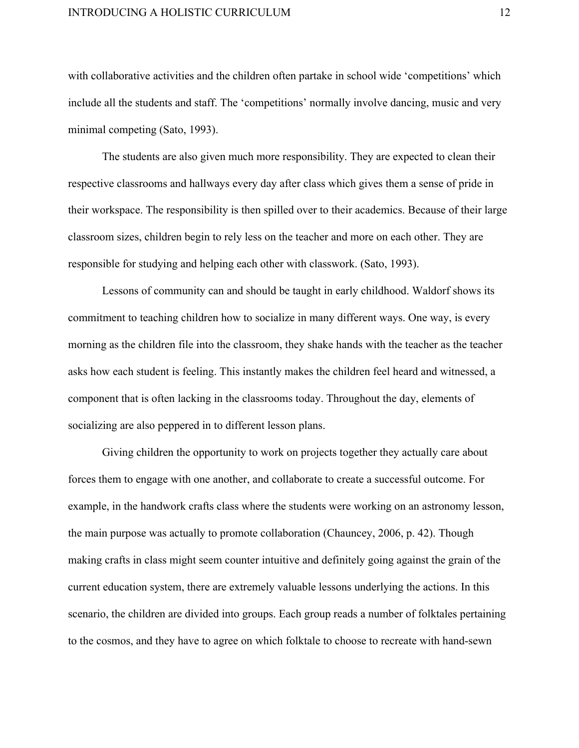with collaborative activities and the children often partake in school wide 'competitions' which include all the students and staff. The 'competitions' normally involve dancing, music and very minimal competing (Sato, 1993).

The students are also given much more responsibility. They are expected to clean their respective classrooms and hallways every day after class which gives them a sense of pride in their workspace. The responsibility is then spilled over to their academics. Because of their large classroom sizes, children begin to rely less on the teacher and more on each other. They are responsible for studying and helping each other with classwork. (Sato, 1993).

Lessons of community can and should be taught in early childhood. Waldorf shows its commitment to teaching children how to socialize in many different ways. One way, is every morning as the children file into the classroom, they shake hands with the teacher as the teacher asks how each student is feeling. This instantly makes the children feel heard and witnessed, a component that is often lacking in the classrooms today. Throughout the day, elements of socializing are also peppered in to different lesson plans.

Giving children the opportunity to work on projects together they actually care about forces them to engage with one another, and collaborate to create a successful outcome. For example, in the handwork crafts class where the students were working on an astronomy lesson, the main purpose was actually to promote collaboration (Chauncey, 2006, p. 42). Though making crafts in class might seem counter intuitive and definitely going against the grain of the current education system, there are extremely valuable lessons underlying the actions. In this scenario, the children are divided into groups. Each group reads a number of folktales pertaining to the cosmos, and they have to agree on which folktale to choose to recreate with hand-sewn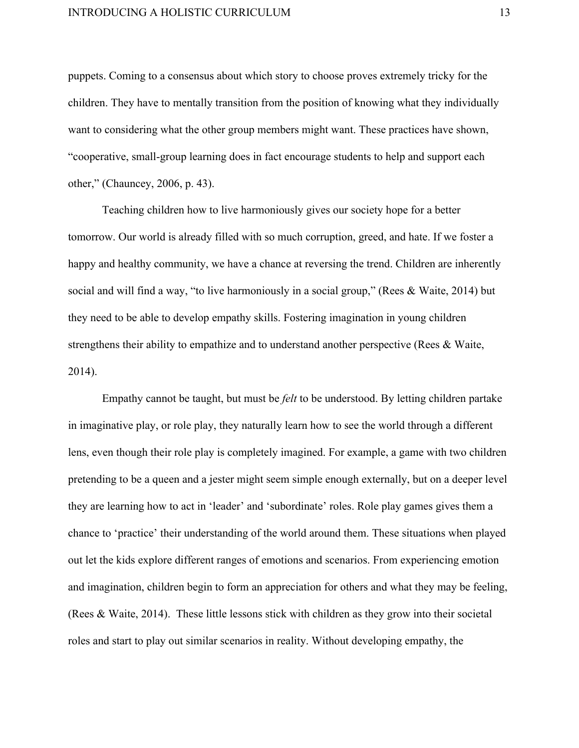puppets. Coming to a consensus about which story to choose proves extremely tricky for the children. They have to mentally transition from the position of knowing what they individually want to considering what the other group members might want. These practices have shown, "cooperative, small-group learning does in fact encourage students to help and support each other," (Chauncey, 2006, p. 43).

Teaching children how to live harmoniously gives our society hope for a better tomorrow. Our world is already filled with so much corruption, greed, and hate. If we foster a happy and healthy community, we have a chance at reversing the trend. Children are inherently social and will find a way, "to live harmoniously in a social group," (Rees & Waite, 2014) but they need to be able to develop empathy skills. Fostering imagination in young children strengthens their ability to empathize and to understand another perspective (Rees & Waite, 2014).

Empathy cannot be taught, but must be *felt* to be understood. By letting children partake in imaginative play, or role play, they naturally learn how to see the world through a different lens, even though their role play is completely imagined. For example, a game with two children pretending to be a queen and a jester might seem simple enough externally, but on a deeper level they are learning how to act in 'leader' and 'subordinate' roles. Role play games gives them a chance to 'practice' their understanding of the world around them. These situations when played out let the kids explore different ranges of emotions and scenarios. From experiencing emotion and imagination, children begin to form an appreciation for others and what they may be feeling, (Rees & Waite, 2014). These little lessons stick with children as they grow into their societal roles and start to play out similar scenarios in reality. Without developing empathy, the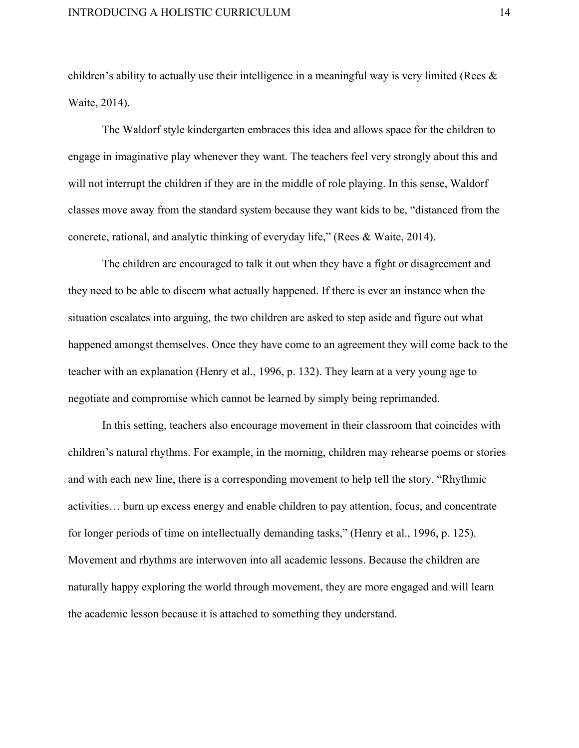children's ability to actually use their intelligence in a meaningful way is very limited (Rees & Waite, 2014).

The Waldorf style kindergarten embraces this idea and allows space for the children to engage in imaginative play whenever they want. The teachers feel very strongly about this and will not interrupt the children if they are in the middle of role playing. In this sense, Waldorf classes move away from the standard system because they want kids to be, "distanced from the concrete, rational, and analytic thinking of everyday life," (Rees & Waite, 2014).

The children are encouraged to talk it out when they have a fight or disagreement and they need to be able to discern what actually happened. If there is ever an instance when the situation escalates into arguing, the two children are asked to step aside and figure out what happened amongst themselves. Once they have come to an agreement they will come back to the teacher with an explanation (Henry et al., 1996, p. 132). They learn at a very young age to negotiate and compromise which cannot be learned by simply being reprimanded.

In this setting, teachers also encourage movement in their classroom that coincides with children's natural rhythms. For example, in the morning, children may rehearse poems or stories and with each new line, there is a corresponding movement to help tell the story. "Rhythmic activities… burn up excess energy and enable children to pay attention, focus, and concentrate for longer periods of time on intellectually demanding tasks," (Henry et al., 1996, p. 125). Movement and rhythms are interwoven into all academic lessons. Because the children are naturally happy exploring the world through movement, they are more engaged and will learn the academic lesson because it is attached to something they understand.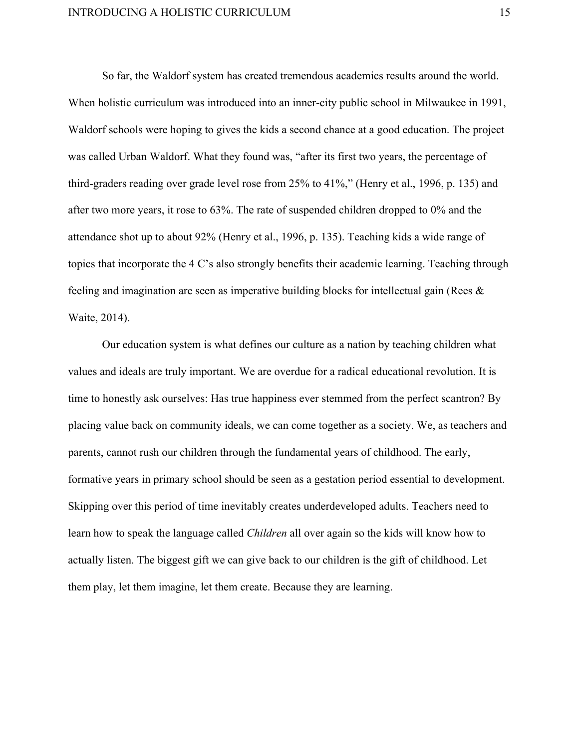So far, the Waldorf system has created tremendous academics results around the world. When holistic curriculum was introduced into an inner-city public school in Milwaukee in 1991, Waldorf schools were hoping to gives the kids a second chance at a good education. The project was called Urban Waldorf. What they found was, "after its first two years, the percentage of third-graders reading over grade level rose from  $25\%$  to  $41\%$ ," (Henry et al., 1996, p. 135) and after two more years, it rose to 63%. The rate of suspended children dropped to 0% and the attendance shot up to about 92% (Henry et al., 1996, p. 135). Teaching kids a wide range of topics that incorporate the 4 C's also strongly benefits their academic learning. Teaching through feeling and imagination are seen as imperative building blocks for intellectual gain (Rees & Waite, 2014).

Our education system is what defines our culture as a nation by teaching children what values and ideals are truly important. We are overdue for a radical educational revolution. It is time to honestly ask ourselves: Has true happiness ever stemmed from the perfect scantron? By placing value back on community ideals, we can come together as a society. We, as teachers and parents, cannot rush our children through the fundamental years of childhood. The early, formative years in primary school should be seen as a gestation period essential to development. Skipping over this period of time inevitably creates underdeveloped adults. Teachers need to learn how to speak the language called *Children* all over again so the kids will know how to actually listen. The biggest gift we can give back to our children is the gift of childhood. Let them play, let them imagine, let them create. Because they are learning.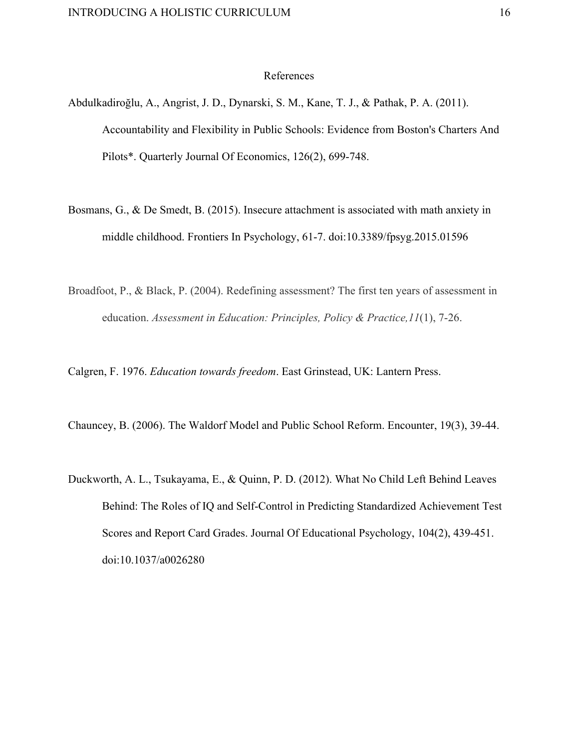### References

- Abdulkadiroğlu, A., Angrist, J. D., Dynarski, S. M., Kane, T. J., & Pathak, P. A. (2011). Accountability and Flexibility in Public Schools: Evidence from Boston's Charters And Pilots\*. Quarterly Journal Of Economics, 126(2), 699-748.
- Bosmans, G., & De Smedt, B. (2015). Insecure attachment is associated with math anxiety in middle childhood. Frontiers In Psychology, 61-7. doi:10.3389/fpsyg.2015.01596
- Broadfoot, P., & Black, P. (2004). Redefining assessment? The first ten years of assessment in education. *Assessment in Education: Principles, Policy & Practice,11*(1), 726.

Calgren, F. 1976. *Education towards freedom*. East Grinstead, UK: Lantern Press.

Chauncey, B. (2006). The Waldorf Model and Public School Reform. Encounter, 19(3), 39-44.

Duckworth, A. L., Tsukayama, E., & Quinn, P. D. (2012). What No Child Left Behind Leaves Behind: The Roles of IQ and Self-Control in Predicting Standardized Achievement Test Scores and Report Card Grades. Journal Of Educational Psychology, 104(2), 439-451. doi:10.1037/a0026280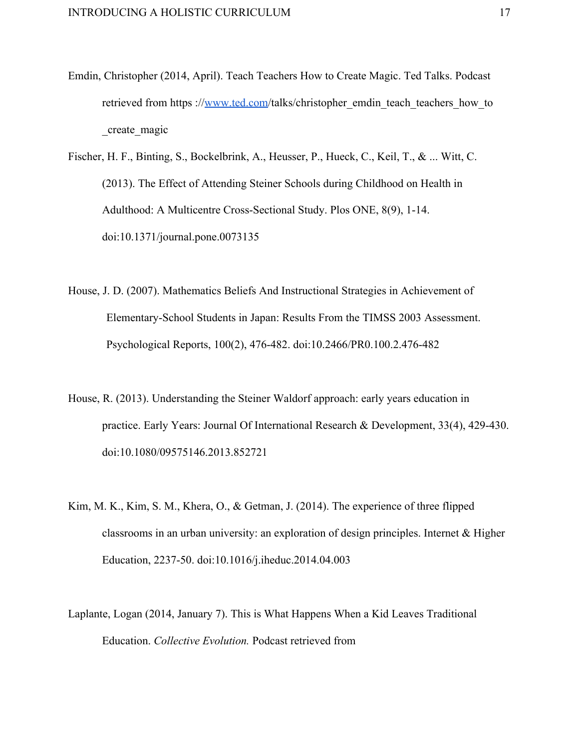- Emdin, Christopher (2014, April). Teach Teachers How to Create Magic. Ted Talks. Podcast retrieved from https :/[/www.ted.com/](http://www.ted.com/)talks/christopher\_emdin\_teach\_teachers\_how\_to \_create\_magic
- Fischer, H. F., Binting, S., Bockelbrink, A., Heusser, P., Hueck, C., Keil, T., & ... Witt, C. (2013). The Effect of Attending Steiner Schools during Childhood on Health in Adulthood: A Multicentre Cross-Sectional Study. Plos ONE, 8(9), 1-14. doi:10.1371/journal.pone.0073135
- House, J. D. (2007). Mathematics Beliefs And Instructional Strategies in Achievement of Elementary-School Students in Japan: Results From the TIMSS 2003 Assessment. Psychological Reports, 100(2), 476-482. doi:10.2466/PR0.100.2.476-482
- House, R. (2013). Understanding the Steiner Waldorf approach: early years education in practice. Early Years: Journal Of International Research  $\&$  Development, 33(4), 429-430. doi:10.1080/09575146.2013.852721
- Kim, M. K., Kim, S. M., Khera, O., & Getman, J. (2014). The experience of three flipped classrooms in an urban university: an exploration of design principles. Internet  $\&$  Higher Education, 223750. doi:10.1016/j.iheduc.2014.04.003
- Laplante, Logan (2014, January 7). This is What Happens When a Kid Leaves Traditional Education. *Collective Evolution.* Podcast retrieved fro[m](http://www.collective-evolution.com/2014/01/07/this-is-what-happens-when-a-kid-leaves-traditional-education/)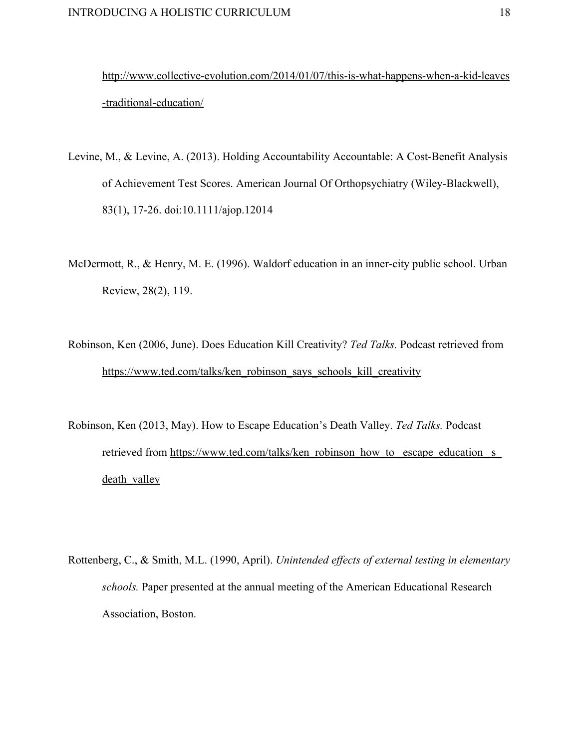http://www.collective-evolution.com/2014/01/07/this-is-what-happens-when-a-kid-leaves -traditional-education/

- Levine, M., & Levine, A. (2013). Holding Accountability Accountable: A Cost-Benefit Analysis of Achievement Test Scores. American Journal Of Orthopsychiatry (Wiley-Blackwell), 83(1), 1726. doi:10.1111/ajop.12014
- McDermott, R., & Henry, M. E. (1996). Waldorf education in an inner-city public school. Urban Review, 28(2), 119.
- Robinson, Ken (2006, June). Does Education Kill Creativity? *Ted Talks.* Podcast retrieved from [https://www.ted.com/talks/ken\\_robinson\\_says\\_schools\\_kill\\_creativity](https://www.ted.com/talks/ken_robinson_says_schools_kill_creativity)
- Robinson, Ken (2013, May). How to Escape Education's Death Valley. *Ted Talks.* Podcast retrieved from [https://www.ted.com/talks/ken\\_robinson\\_how\\_to](https://www.ted.com/talks/ken_robinson_how_to_escape_education_s_death_valley) \_escape\_education\_ s death valley
- Rottenberg, C., & Smith, M.L. (1990, April). *Unintended effects of external testing in elementary schools.* Paper presented at the annual meeting of the American Educational Research Association, Boston.